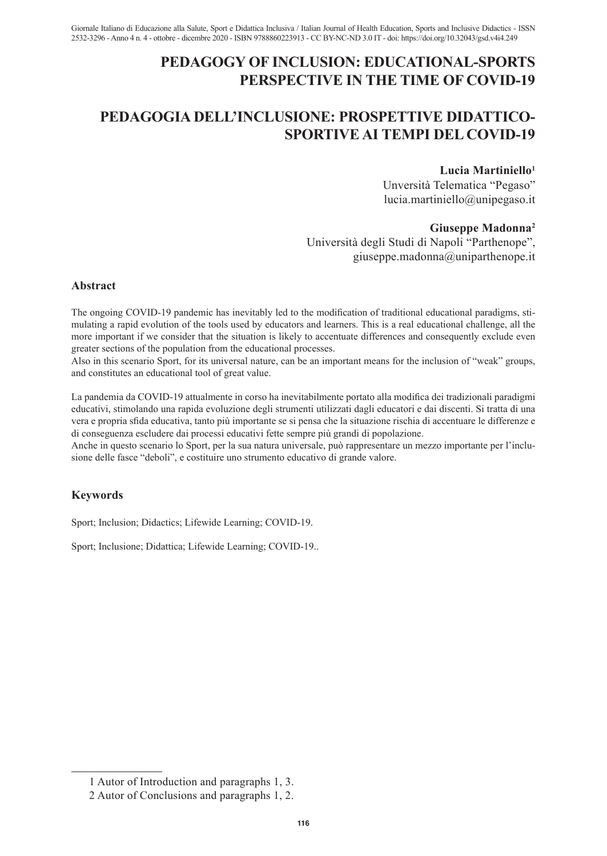# **PEDAGOGY OF INCLUSION: EDUCATIONAL-SPORTS PERSPECTIVE IN THE TIME OF COVID-19**

# **PEDAGOGIA DELL'INCLUSIONE: PROSPETTIVE DIDATTICO-SPORTIVE AI TEMPI DEL COVID-19**

### **Lucia Martiniello1**

Unversità Telematica "Pegaso" lucia.martiniello@unipegaso.it

#### **Giuseppe Madonna2**

Università degli Studi di Napoli "Parthenope", giuseppe.madonna@uniparthenope.it

#### **Abstract**

The ongoing COVID-19 pandemic has inevitably led to the modification of traditional educational paradigms, stimulating a rapid evolution of the tools used by educators and learners. This is a real educational challenge, all the more important if we consider that the situation is likely to accentuate differences and consequently exclude even greater sections of the population from the educational processes.

Also in this scenario Sport, for its universal nature, can be an important means for the inclusion of "weak" groups, and constitutes an educational tool of great value.

La pandemia da COVID-19 attualmente in corso ha inevitabilmente portato alla modifica dei tradizionali paradigmi educativi, stimolando una rapida evoluzione degli strumenti utilizzati dagli educatori e dai discenti. Si tratta di una vera e propria sfida educativa, tanto più importante se si pensa che la situazione rischia di accentuare le differenze e di conseguenza escludere dai processi educativi fette sempre più grandi di popolazione.

Anche in questo scenario lo Sport, per la sua natura universale, può rappresentare un mezzo importante per l'inclusione delle fasce "deboli", e costituire uno strumento educativo di grande valore.

## **Keywords**

Sport; Inclusion; Didactics; Lifewide Learning; COVID-19.

Sport; Inclusione; Didattica; Lifewide Learning; COVID-19..

<sup>1</sup> Autor of Introduction and paragraphs 1, 3.

<sup>2</sup> Autor of Conclusions and paragraphs 1, 2.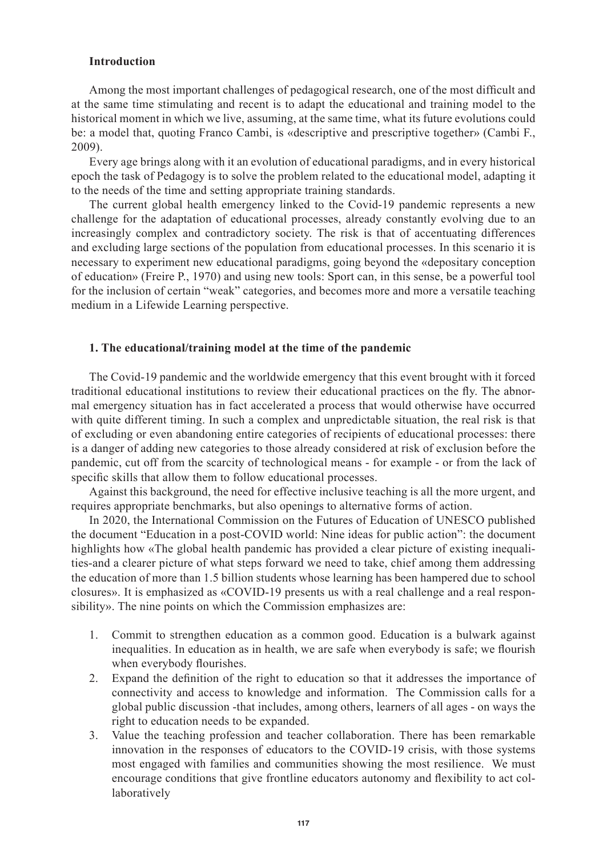#### **Introduction**

Among the most important challenges of pedagogical research, one of the most difficult and at the same time stimulating and recent is to adapt the educational and training model to the historical moment in which we live, assuming, at the same time, what its future evolutions could be: a model that, quoting Franco Cambi, is «descriptive and prescriptive together» (Cambi F., 2009).

Every age brings along with it an evolution of educational paradigms, and in every historical epoch the task of Pedagogy is to solve the problem related to the educational model, adapting it to the needs of the time and setting appropriate training standards.

The current global health emergency linked to the Covid-19 pandemic represents a new challenge for the adaptation of educational processes, already constantly evolving due to an increasingly complex and contradictory society. The risk is that of accentuating differences and excluding large sections of the population from educational processes. In this scenario it is necessary to experiment new educational paradigms, going beyond the «depositary conception of education» (Freire P., 1970) and using new tools: Sport can, in this sense, be a powerful tool for the inclusion of certain "weak" categories, and becomes more and more a versatile teaching medium in a Lifewide Learning perspective.

### **1. The educational/training model at the time of the pandemic**

The Covid-19 pandemic and the worldwide emergency that this event brought with it forced traditional educational institutions to review their educational practices on the fly. The abnormal emergency situation has in fact accelerated a process that would otherwise have occurred with quite different timing. In such a complex and unpredictable situation, the real risk is that of excluding or even abandoning entire categories of recipients of educational processes: there is a danger of adding new categories to those already considered at risk of exclusion before the pandemic, cut off from the scarcity of technological means - for example - or from the lack of specific skills that allow them to follow educational processes.

Against this background, the need for effective inclusive teaching is all the more urgent, and requires appropriate benchmarks, but also openings to alternative forms of action.

In 2020, the International Commission on the Futures of Education of UNESCO published the document "Education in a post-COVID world: Nine ideas for public action": the document highlights how «The global health pandemic has provided a clear picture of existing inequalities-and a clearer picture of what steps forward we need to take, chief among them addressing the education of more than 1.5 billion students whose learning has been hampered due to school closures». It is emphasized as «COVID-19 presents us with a real challenge and a real responsibility». The nine points on which the Commission emphasizes are:

- 1. Commit to strengthen education as a common good. Education is a bulwark against inequalities. In education as in health, we are safe when everybody is safe; we flourish when everybody flourishes.
- 2. Expand the definition of the right to education so that it addresses the importance of connectivity and access to knowledge and information. The Commission calls for a global public discussion -that includes, among others, learners of all ages - on ways the right to education needs to be expanded.
- 3. Value the teaching profession and teacher collaboration. There has been remarkable innovation in the responses of educators to the COVID-19 crisis, with those systems most engaged with families and communities showing the most resilience. We must encourage conditions that give frontline educators autonomy and flexibility to act collaboratively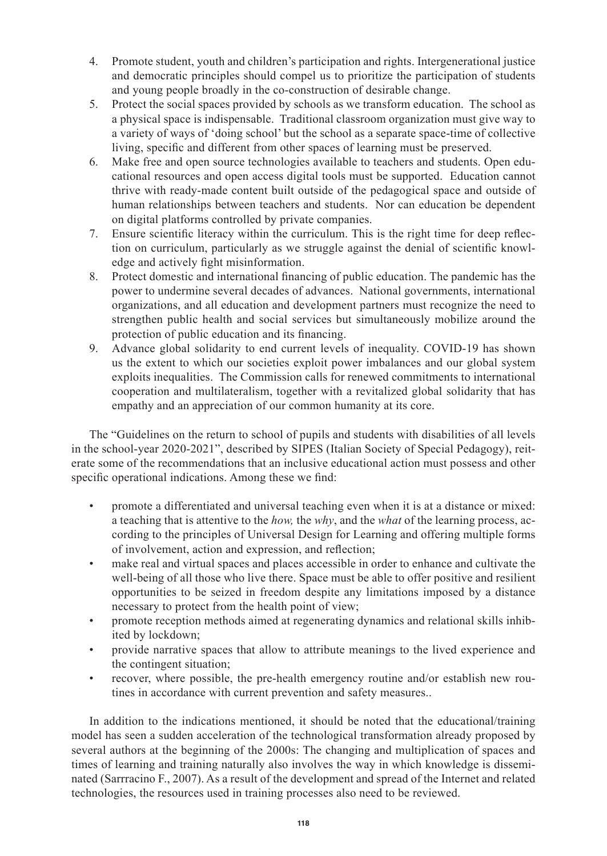- 4. Promote student, youth and children's participation and rights. Intergenerational justice and democratic principles should compel us to prioritize the participation of students and young people broadly in the co-construction of desirable change.
- 5. Protect the social spaces provided by schools as we transform education. The school as a physical space is indispensable. Traditional classroom organization must give way to a variety of ways of 'doing school' but the school as a separate space-time of collective living, specific and different from other spaces of learning must be preserved.
- 6. Make free and open source technologies available to teachers and students. Open educational resources and open access digital tools must be supported. Education cannot thrive with ready-made content built outside of the pedagogical space and outside of human relationships between teachers and students. Nor can education be dependent on digital platforms controlled by private companies.
- 7. Ensure scientific literacy within the curriculum. This is the right time for deep reflection on curriculum, particularly as we struggle against the denial of scientific knowledge and actively fight misinformation.
- 8. Protect domestic and international financing of public education. The pandemic has the power to undermine several decades of advances. National governments, international organizations, and all education and development partners must recognize the need to strengthen public health and social services but simultaneously mobilize around the protection of public education and its financing.
- 9. Advance global solidarity to end current levels of inequality. COVID-19 has shown us the extent to which our societies exploit power imbalances and our global system exploits inequalities. The Commission calls for renewed commitments to international cooperation and multilateralism, together with a revitalized global solidarity that has empathy and an appreciation of our common humanity at its core.

The "Guidelines on the return to school of pupils and students with disabilities of all levels in the school-year 2020-2021", described by SIPES (Italian Society of Special Pedagogy), reiterate some of the recommendations that an inclusive educational action must possess and other specific operational indications. Among these we find:

- promote a differentiated and universal teaching even when it is at a distance or mixed: a teaching that is attentive to the *how,* the *why*, and the *what* of the learning process, according to the principles of Universal Design for Learning and offering multiple forms of involvement, action and expression, and reflection;
- make real and virtual spaces and places accessible in order to enhance and cultivate the well-being of all those who live there. Space must be able to offer positive and resilient opportunities to be seized in freedom despite any limitations imposed by a distance necessary to protect from the health point of view;
- promote reception methods aimed at regenerating dynamics and relational skills inhibited by lockdown;
- provide narrative spaces that allow to attribute meanings to the lived experience and the contingent situation;
- recover, where possible, the pre-health emergency routine and/or establish new routines in accordance with current prevention and safety measures..

In addition to the indications mentioned, it should be noted that the educational/training model has seen a sudden acceleration of the technological transformation already proposed by several authors at the beginning of the 2000s: The changing and multiplication of spaces and times of learning and training naturally also involves the way in which knowledge is disseminated (Sarrracino F., 2007). As a result of the development and spread of the Internet and related technologies, the resources used in training processes also need to be reviewed.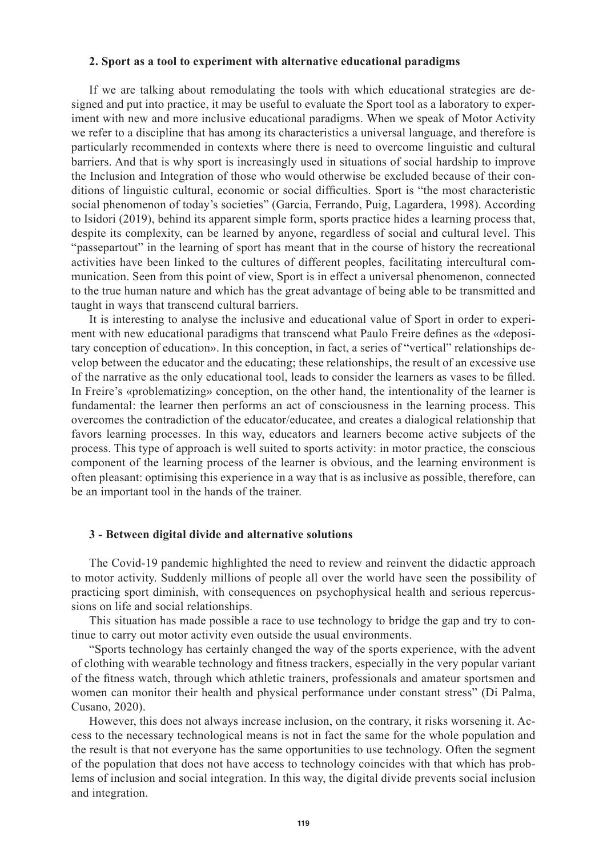#### **2. Sport as a tool to experiment with alternative educational paradigms**

If we are talking about remodulating the tools with which educational strategies are designed and put into practice, it may be useful to evaluate the Sport tool as a laboratory to experiment with new and more inclusive educational paradigms. When we speak of Motor Activity we refer to a discipline that has among its characteristics a universal language, and therefore is particularly recommended in contexts where there is need to overcome linguistic and cultural barriers. And that is why sport is increasingly used in situations of social hardship to improve the Inclusion and Integration of those who would otherwise be excluded because of their conditions of linguistic cultural, economic or social difficulties. Sport is "the most characteristic social phenomenon of today's societies" (Garcia, Ferrando, Puig, Lagardera, 1998). According to Isidori (2019), behind its apparent simple form, sports practice hides a learning process that, despite its complexity, can be learned by anyone, regardless of social and cultural level. This "passepartout" in the learning of sport has meant that in the course of history the recreational activities have been linked to the cultures of different peoples, facilitating intercultural communication. Seen from this point of view, Sport is in effect a universal phenomenon, connected to the true human nature and which has the great advantage of being able to be transmitted and taught in ways that transcend cultural barriers.

It is interesting to analyse the inclusive and educational value of Sport in order to experiment with new educational paradigms that transcend what Paulo Freire defines as the «depositary conception of education». In this conception, in fact, a series of "vertical" relationships develop between the educator and the educating; these relationships, the result of an excessive use of the narrative as the only educational tool, leads to consider the learners as vases to be filled. In Freire's «problematizing» conception, on the other hand, the intentionality of the learner is fundamental: the learner then performs an act of consciousness in the learning process. This overcomes the contradiction of the educator/educatee, and creates a dialogical relationship that favors learning processes. In this way, educators and learners become active subjects of the process. This type of approach is well suited to sports activity: in motor practice, the conscious component of the learning process of the learner is obvious, and the learning environment is often pleasant: optimising this experience in a way that is as inclusive as possible, therefore, can be an important tool in the hands of the trainer.

#### **3 - Between digital divide and alternative solutions**

The Covid-19 pandemic highlighted the need to review and reinvent the didactic approach to motor activity. Suddenly millions of people all over the world have seen the possibility of practicing sport diminish, with consequences on psychophysical health and serious repercussions on life and social relationships.

This situation has made possible a race to use technology to bridge the gap and try to continue to carry out motor activity even outside the usual environments.

"Sports technology has certainly changed the way of the sports experience, with the advent of clothing with wearable technology and fitness trackers, especially in the very popular variant of the fitness watch, through which athletic trainers, professionals and amateur sportsmen and women can monitor their health and physical performance under constant stress" (Di Palma, Cusano, 2020).

However, this does not always increase inclusion, on the contrary, it risks worsening it. Access to the necessary technological means is not in fact the same for the whole population and the result is that not everyone has the same opportunities to use technology. Often the segment of the population that does not have access to technology coincides with that which has problems of inclusion and social integration. In this way, the digital divide prevents social inclusion and integration.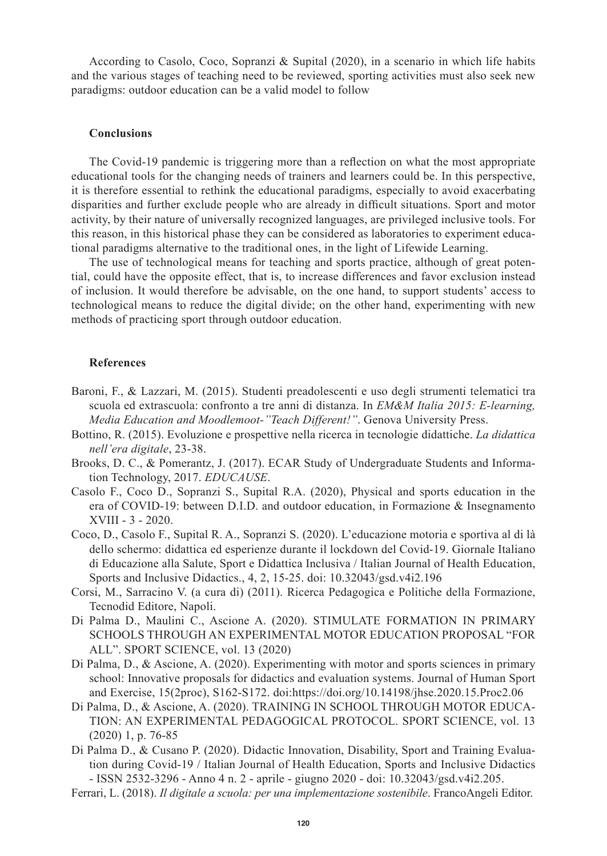According to Casolo, Coco, Sopranzi & Supital (2020), in a scenario in which life habits and the various stages of teaching need to be reviewed, sporting activities must also seek new paradigms: outdoor education can be a valid model to follow

#### **Conclusions**

The Covid-19 pandemic is triggering more than a reflection on what the most appropriate educational tools for the changing needs of trainers and learners could be. In this perspective, it is therefore essential to rethink the educational paradigms, especially to avoid exacerbating disparities and further exclude people who are already in difficult situations. Sport and motor activity, by their nature of universally recognized languages, are privileged inclusive tools. For this reason, in this historical phase they can be considered as laboratories to experiment educational paradigms alternative to the traditional ones, in the light of Lifewide Learning.

The use of technological means for teaching and sports practice, although of great potential, could have the opposite effect, that is, to increase differences and favor exclusion instead of inclusion. It would therefore be advisable, on the one hand, to support students' access to technological means to reduce the digital divide; on the other hand, experimenting with new methods of practicing sport through outdoor education.

#### **References**

- Baroni, F., & Lazzari, M. (2015). Studenti preadolescenti e uso degli strumenti telematici tra scuola ed extrascuola: confronto a tre anni di distanza. In *EM&M Italia 2015: E-learning, Media Education and Moodlemoot-''Teach Different!''*. Genova University Press.
- Bottino, R. (2015). Evoluzione e prospettive nella ricerca in tecnologie didattiche. *La didattica nell'era digitale*, 23-38.
- Brooks, D. C., & Pomerantz, J. (2017). ECAR Study of Undergraduate Students and Information Technology, 2017. *EDUCAUSE*.
- Casolo F., Coco D., Sopranzi S., Supital R.A. (2020), Physical and sports education in the era of COVID-19: between D.I.D. and outdoor education, in Formazione & Insegnamento XVIII - 3 - 2020.
- Coco, D., Casolo F., Supital R. A., Sopranzi S. (2020). L'educazione motoria e sportiva al di là dello schermo: didattica ed esperienze durante il lockdown del Covid-19. Giornale Italiano di Educazione alla Salute, Sport e Didattica Inclusiva / Italian Journal of Health Education, Sports and Inclusive Didactics., 4, 2, 15-25. doi: 10.32043/gsd.v4i2.196
- Corsi, M., Sarracino V. (a cura di) (2011). Ricerca Pedagogica e Politiche della Formazione, Tecnodid Editore, Napoli.
- Di Palma D., Maulini C., Ascione A. (2020). STIMULATE FORMATION IN PRIMARY SCHOOLS THROUGH AN EXPERIMENTAL MOTOR EDUCATION PROPOSAL "FOR ALL". SPORT SCIENCE, vol. 13 (2020)
- Di Palma, D., & Ascione, A. (2020). Experimenting with motor and sports sciences in primary school: Innovative proposals for didactics and evaluation systems. Journal of Human Sport and Exercise, 15(2proc), S162-S172. doi:https://doi.org/10.14198/jhse.2020.15.Proc2.06
- Di Palma, D., & Ascione, A. (2020). TRAINING IN SCHOOL THROUGH MOTOR EDUCA-TION: AN EXPERIMENTAL PEDAGOGICAL PROTOCOL. SPORT SCIENCE, vol. 13 (2020) 1, p. 76-85
- Di Palma D., & Cusano P. (2020). Didactic Innovation, Disability, Sport and Training Evaluation during Covid-19 / Italian Journal of Health Education, Sports and Inclusive Didactics - ISSN 2532-3296 - Anno 4 n. 2 - aprile - giugno 2020 - doi: 10.32043/gsd.v4i2.205.
- Ferrari, L. (2018). *Il digitale a scuola: per una implementazione sostenibile*. FrancoAngeli Editor.